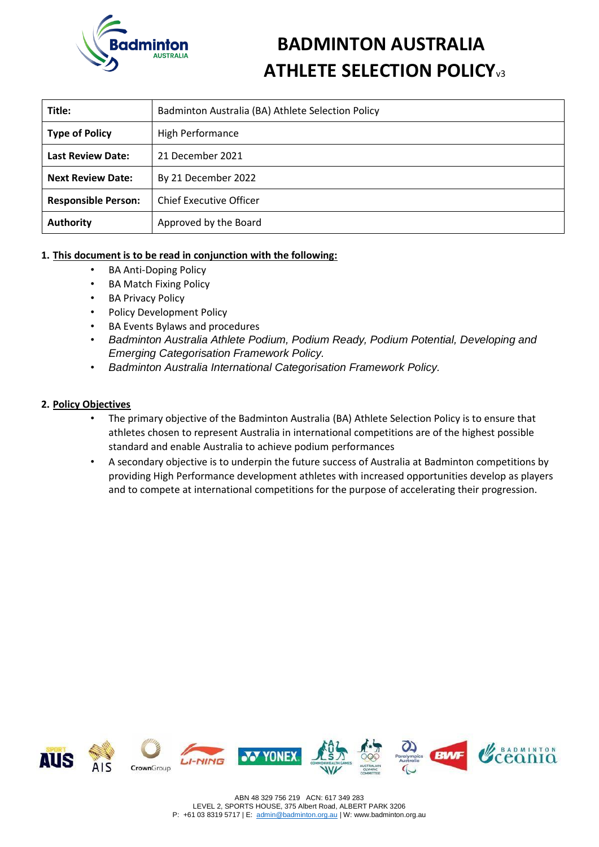

# **BADMINTON AUSTRALIA ATHLETE SELECTION POLICY**<sub>v3</sub>

| Title:                                          | Badminton Australia (BA) Athlete Selection Policy |  |  |
|-------------------------------------------------|---------------------------------------------------|--|--|
| <b>Type of Policy</b>                           | <b>High Performance</b>                           |  |  |
| <b>Last Review Date:</b>                        | 21 December 2021                                  |  |  |
| <b>Next Review Date:</b><br>By 21 December 2022 |                                                   |  |  |
| <b>Responsible Person:</b>                      | <b>Chief Executive Officer</b>                    |  |  |
| <b>Authority</b>                                | Approved by the Board                             |  |  |

# **1. This document is to be read in conjunction with the following:**

- BA Anti-Doping Policy
- BA Match Fixing Policy
- **BA Privacy Policy**
- Policy Development Policy
- BA Events Bylaws and procedures
- *Badminton Australia Athlete Podium, Podium Ready, Podium Potential, Developing and Emerging Categorisation Framework Policy.*
- *Badminton Australia International Categorisation Framework Policy.*

### **2. Policy Objectives**

- The primary objective of the Badminton Australia (BA) Athlete Selection Policy is to ensure that athletes chosen to represent Australia in international competitions are of the highest possible standard and enable Australia to achieve podium performances
- A secondary objective is to underpin the future success of Australia at Badminton competitions by providing High Performance development athletes with increased opportunities develop as players and to compete at international competitions for the purpose of accelerating their progression.

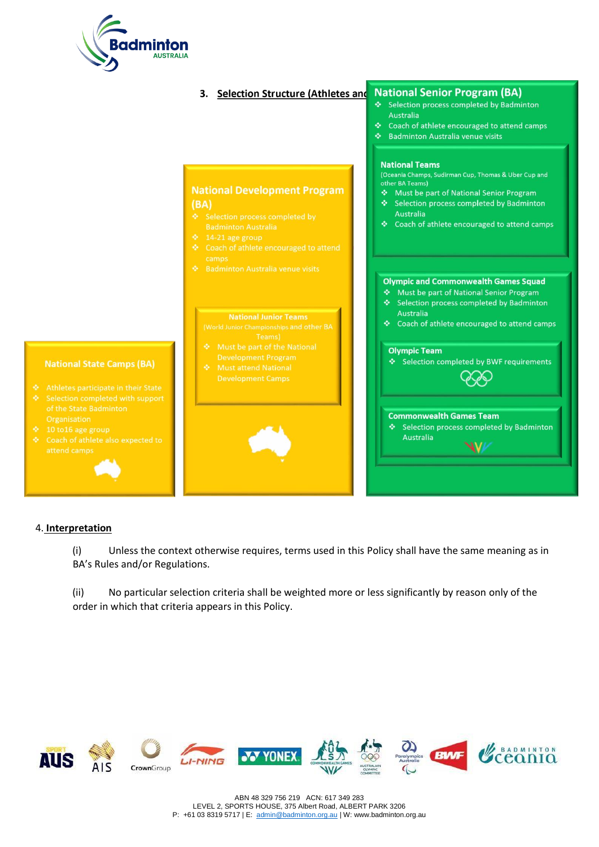



### 4. **Interpretation**

(i) Unless the context otherwise requires, terms used in this Policy shall have the same meaning as in BA's Rules and/or Regulations.

(ii) No particular selection criteria shall be weighted more or less significantly by reason only of the order in which that criteria appears in this Policy.

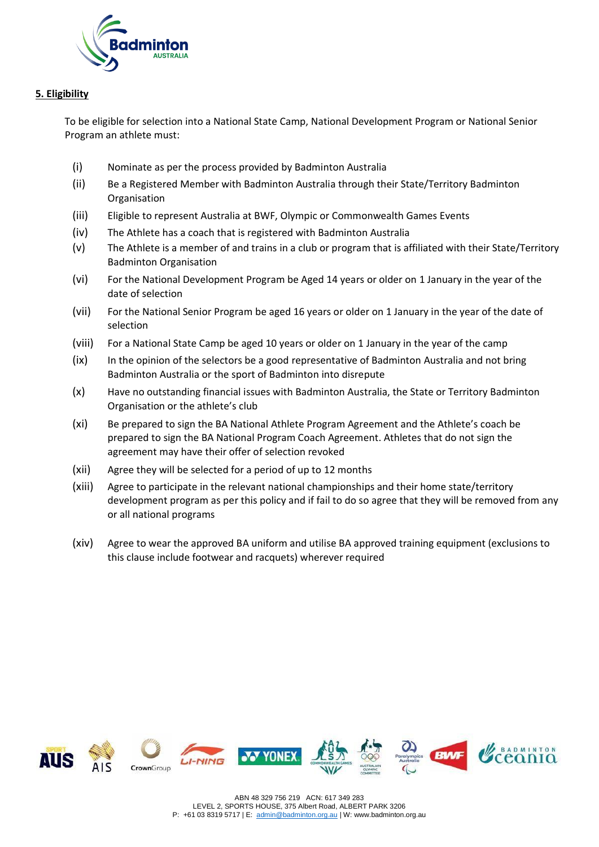

# **5. Eligibility**

To be eligible for selection into a National State Camp, National Development Program or National Senior Program an athlete must:

- (i) Nominate as per the process provided by Badminton Australia
- (ii) Be a Registered Member with Badminton Australia through their State/Territory Badminton **Organisation**
- (iii) Eligible to represent Australia at BWF, Olympic or Commonwealth Games Events
- (iv) The Athlete has a coach that is registered with Badminton Australia
- (v) The Athlete is a member of and trains in a club or program that is affiliated with their State/Territory Badminton Organisation
- (vi) For the National Development Program be Aged 14 years or older on 1 January in the year of the date of selection
- (vii) For the National Senior Program be aged 16 years or older on 1 January in the year of the date of selection
- (viii) For a National State Camp be aged 10 years or older on 1 January in the year of the camp
- (ix) In the opinion of the selectors be a good representative of Badminton Australia and not bring Badminton Australia or the sport of Badminton into disrepute
- (x) Have no outstanding financial issues with Badminton Australia, the State or Territory Badminton Organisation or the athlete's club
- (xi) Be prepared to sign the BA National Athlete Program Agreement and the Athlete's coach be prepared to sign the BA National Program Coach Agreement. Athletes that do not sign the agreement may have their offer of selection revoked
- (xii) Agree they will be selected for a period of up to 12 months
- (xiii) Agree to participate in the relevant national championships and their home state/territory development program as per this policy and if fail to do so agree that they will be removed from any or all national programs
- (xiv) Agree to wear the approved BA uniform and utilise BA approved training equipment (exclusions to this clause include footwear and racquets) wherever required

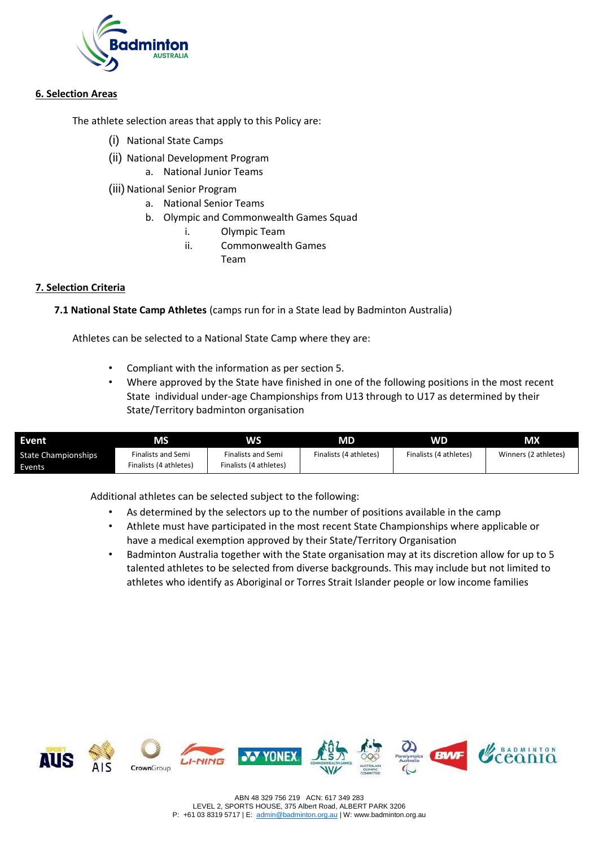

## **6. Selection Areas**

The athlete selection areas that apply to this Policy are:

- (i) National State Camps
- (ii) National Development Program a. National Junior Teams
- (iii) National Senior Program
	- a. National Senior Teams
	- b. Olympic and Commonwealth Games Squad
		- i. Olympic Team
		- ii. Commonwealth Games
			- Team

## **7. Selection Criteria**

**7.1 National State Camp Athletes** (camps run for in a State lead by Badminton Australia)

Athletes can be selected to a National State Camp where they are:

- Compliant with the information as per section 5.
- Where approved by the State have finished in one of the following positions in the most recent State individual under-age Championships from U13 through to U17 as determined by their State/Territory badminton organisation

| Event                                | ΜS                                                  | <b>WS</b>                                           | MD                     | WD                     | <b>MX</b>            |
|--------------------------------------|-----------------------------------------------------|-----------------------------------------------------|------------------------|------------------------|----------------------|
| <b>State Championships</b><br>Events | <b>Finalists and Semi</b><br>Finalists (4 athletes) | <b>Finalists and Semi</b><br>Finalists (4 athletes) | Finalists (4 athletes) | Finalists (4 athletes) | Winners (2 athletes) |

Additional athletes can be selected subject to the following:

- As determined by the selectors up to the number of positions available in the camp
- Athlete must have participated in the most recent State Championships where applicable or have a medical exemption approved by their State/Territory Organisation
- Badminton Australia together with the State organisation may at its discretion allow for up to 5 talented athletes to be selected from diverse backgrounds. This may include but not limited to athletes who identify as Aboriginal or Torres Strait Islander people or low income families

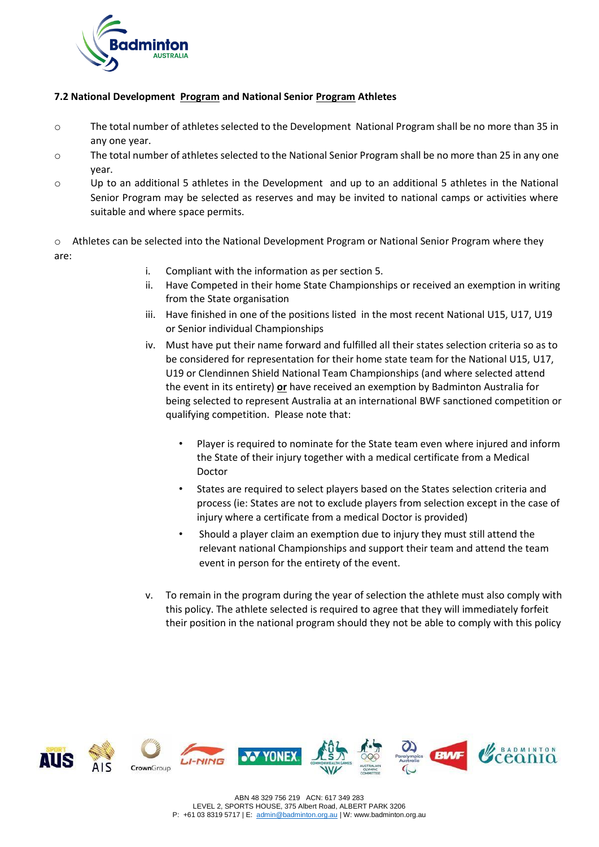

## **7.2 National Development Program and National Senior Program Athletes**

- o The total number of athletes selected to the Development National Program shall be no more than 35 in any one year.
- o The total number of athletes selected to the National Senior Program shall be no more than 25 in any one year.
- o Up to an additional 5 athletes in the Development and up to an additional 5 athletes in the National Senior Program may be selected as reserves and may be invited to national camps or activities where suitable and where space permits.

o Athletes can be selected into the National Development Program or National Senior Program where they are:

- i. Compliant with the information as per section 5.
- ii. Have Competed in their home State Championships or received an exemption in writing from the State organisation
- iii. Have finished in one of the positions listed in the most recent National U15, U17, U19 or Senior individual Championships
- iv. Must have put their name forward and fulfilled all their states selection criteria so as to be considered for representation for their home state team for the National U15, U17, U19 or Clendinnen Shield National Team Championships (and where selected attend the event in its entirety) **or** have received an exemption by Badminton Australia for being selected to represent Australia at an international BWF sanctioned competition or qualifying competition. Please note that:
	- Player is required to nominate for the State team even where injured and inform the State of their injury together with a medical certificate from a Medical Doctor
	- States are required to select players based on the States selection criteria and process (ie: States are not to exclude players from selection except in the case of injury where a certificate from a medical Doctor is provided)
	- Should a player claim an exemption due to injury they must still attend the relevant national Championships and support their team and attend the team event in person for the entirety of the event.
- v. To remain in the program during the year of selection the athlete must also comply with this policy. The athlete selected is required to agree that they will immediately forfeit their position in the national program should they not be able to comply with this policy

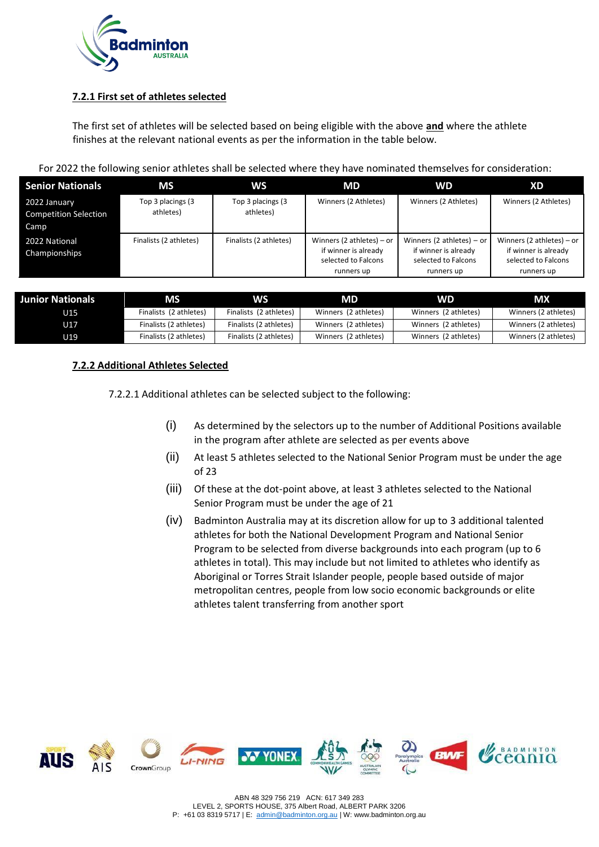

# **7.2.1 First set of athletes selected**

The first set of athletes will be selected based on being eligible with the above **and** where the athlete finishes at the relevant national events as per the information in the table below.

| <b>Senior Nationals</b>                              | MS                             | <b>WS</b>                      | <b>MD</b>                                                                                | <b>WD</b>                                                                                | XD                                                                                       |
|------------------------------------------------------|--------------------------------|--------------------------------|------------------------------------------------------------------------------------------|------------------------------------------------------------------------------------------|------------------------------------------------------------------------------------------|
| 2022 January<br><b>Competition Selection</b><br>Camp | Top 3 placings (3<br>athletes) | Top 3 placings (3<br>athletes) | Winners (2 Athletes)                                                                     | Winners (2 Athletes)                                                                     | Winners (2 Athletes)                                                                     |
| 2022 National<br>Championships                       | Finalists (2 athletes)         | Finalists (2 athletes)         | Winners (2 athletes) $-$ or<br>if winner is already<br>selected to Falcons<br>runners up | Winners (2 athletes) $-$ or<br>if winner is already<br>selected to Falcons<br>runners up | Winners (2 athletes) $-$ or<br>if winner is already<br>selected to Falcons<br>runners up |

| <b>Junior Nationals</b> | <b>MS</b>              | WS                     | MD                   | <b>WD</b>            | МX                   |
|-------------------------|------------------------|------------------------|----------------------|----------------------|----------------------|
| U15 .                   | Finalists (2 athletes) | Finalists (2 athletes) | Winners (2 athletes) | Winners (2 athletes) | Winners (2 athletes) |
| U17                     | Finalists (2 athletes) | Finalists (2 athletes) | Winners (2 athletes) | Winners (2 athletes) | Winners (2 athletes) |
| U19                     | Finalists (2 athletes) | Finalists (2 athletes) | Winners (2 athletes) | Winners (2 athletes) | Winners (2 athletes) |

# **7.2.2 Additional Athletes Selected**

7.2.2.1 Additional athletes can be selected subject to the following:

- (i) As determined by the selectors up to the number of Additional Positions available in the program after athlete are selected as per events above
- (ii) At least 5 athletes selected to the National Senior Program must be under the age of 23
- (iii) Of these at the dot-point above, at least 3 athletes selected to the National Senior Program must be under the age of 21
- (iv) Badminton Australia may at its discretion allow for up to 3 additional talented athletes for both the National Development Program and National Senior Program to be selected from diverse backgrounds into each program (up to 6 athletes in total). This may include but not limited to athletes who identify as Aboriginal or Torres Strait Islander people, people based outside of major metropolitan centres, people from low socio economic backgrounds or elite athletes talent transferring from another sport

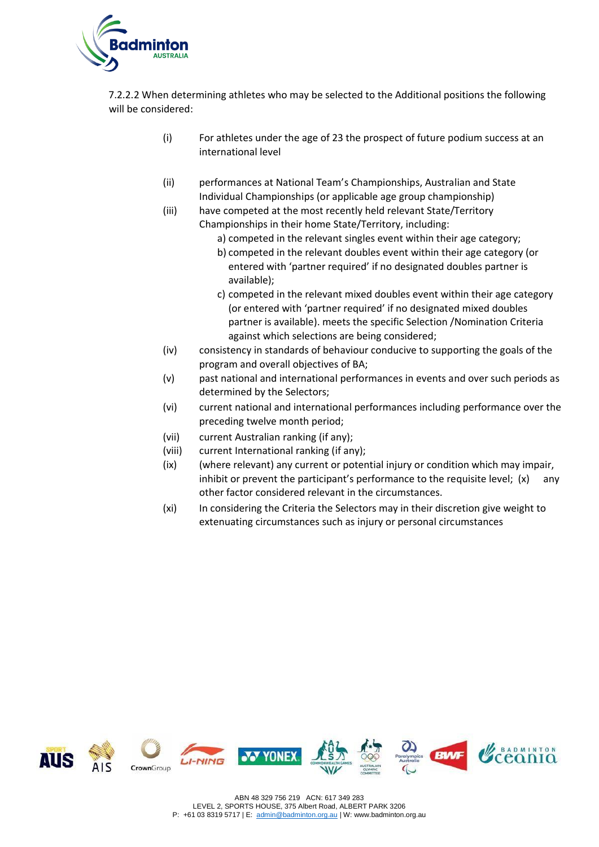

7.2.2.2 When determining athletes who may be selected to the Additional positions the following will be considered:

- (i) For athletes under the age of 23 the prospect of future podium success at an international level
- (ii) performances at National Team's Championships, Australian and State Individual Championships (or applicable age group championship)
- (iii) have competed at the most recently held relevant State/Territory Championships in their home State/Territory, including:
	- a) competed in the relevant singles event within their age category;
	- b) competed in the relevant doubles event within their age category (or entered with 'partner required' if no designated doubles partner is available);
	- c) competed in the relevant mixed doubles event within their age category (or entered with 'partner required' if no designated mixed doubles partner is available). meets the specific Selection /Nomination Criteria against which selections are being considered;
- (iv) consistency in standards of behaviour conducive to supporting the goals of the program and overall objectives of BA;
- (v) past national and international performances in events and over such periods as determined by the Selectors;
- (vi) current national and international performances including performance over the preceding twelve month period;
- (vii) current Australian ranking (if any);
- (viii) current International ranking (if any);
- (ix) (where relevant) any current or potential injury or condition which may impair, inhibit or prevent the participant's performance to the requisite level;  $(x)$  any other factor considered relevant in the circumstances.
- (xi) In considering the Criteria the Selectors may in their discretion give weight to extenuating circumstances such as injury or personal circumstances

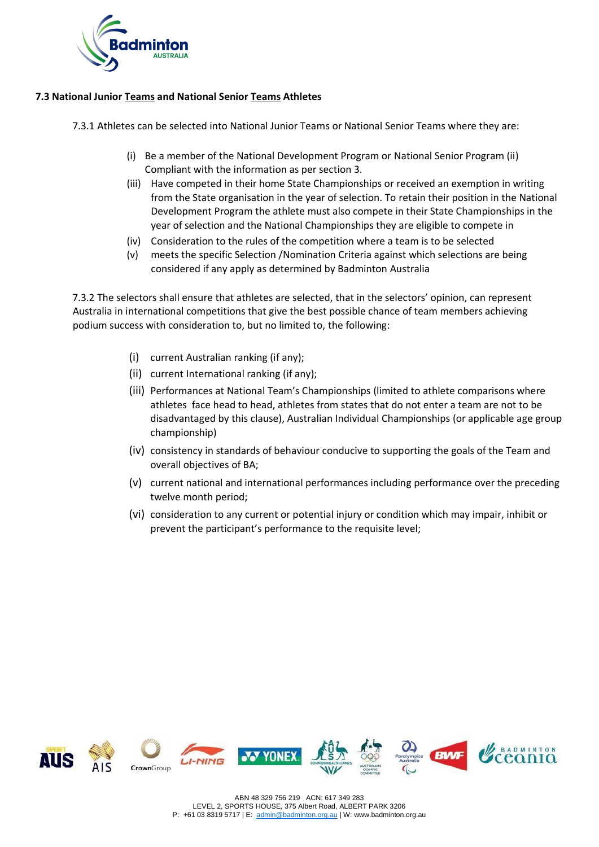

# **7.3 National Junior Teams and National Senior Teams Athletes**

7.3.1 Athletes can be selected into National Junior Teams or National Senior Teams where they are:

- (i) Be a member of the National Development Program or National Senior Program (ii) Compliant with the information as per section 3.
- (iii) Have competed in their home State Championships or received an exemption in writing from the State organisation in the year of selection. To retain their position in the National Development Program the athlete must also compete in their State Championships in the year of selection and the National Championships they are eligible to compete in
- (iv) Consideration to the rules of the competition where a team is to be selected
- (v) meets the specific Selection /Nomination Criteria against which selections are being considered if any apply as determined by Badminton Australia

7.3.2 The selectors shall ensure that athletes are selected, that in the selectors' opinion, can represent Australia in international competitions that give the best possible chance of team members achieving podium success with consideration to, but no limited to, the following:

- (i) current Australian ranking (if any);
- (ii) current International ranking (if any);
- (iii) Performances at National Team's Championships (limited to athlete comparisons where athletes face head to head, athletes from states that do not enter a team are not to be disadvantaged by this clause), Australian Individual Championships (or applicable age group championship)
- (iv) consistency in standards of behaviour conducive to supporting the goals of the Team and overall objectives of BA;
- (v) current national and international performances including performance over the preceding twelve month period;
- (vi) consideration to any current or potential injury or condition which may impair, inhibit or prevent the participant's performance to the requisite level;

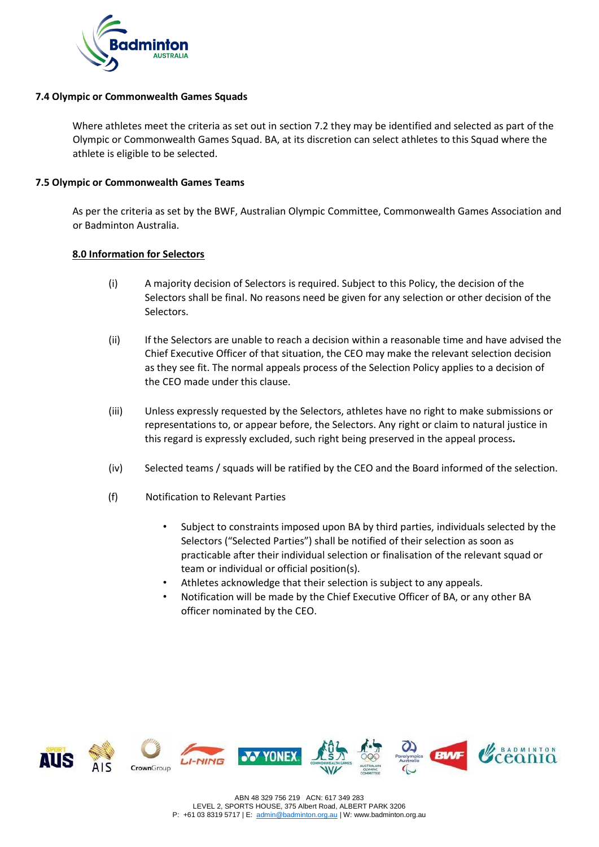

## **7.4 Olympic or Commonwealth Games Squads**

Where athletes meet the criteria as set out in section 7.2 they may be identified and selected as part of the Olympic or Commonwealth Games Squad. BA, at its discretion can select athletes to this Squad where the athlete is eligible to be selected.

#### **7.5 Olympic or Commonwealth Games Teams**

As per the criteria as set by the BWF, Australian Olympic Committee, Commonwealth Games Association and or Badminton Australia.

### **8.0 Information for Selectors**

- (i) A majority decision of Selectors is required. Subject to this Policy, the decision of the Selectors shall be final. No reasons need be given for any selection or other decision of the Selectors.
- (ii) If the Selectors are unable to reach a decision within a reasonable time and have advised the Chief Executive Officer of that situation, the CEO may make the relevant selection decision as they see fit. The normal appeals process of the Selection Policy applies to a decision of the CEO made under this clause.
- (iii) Unless expressly requested by the Selectors, athletes have no right to make submissions or representations to, or appear before, the Selectors. Any right or claim to natural justice in this regard is expressly excluded, such right being preserved in the appeal process**.**
- (iv) Selected teams / squads will be ratified by the CEO and the Board informed of the selection.
- (f) Notification to Relevant Parties
	- Subject to constraints imposed upon BA by third parties, individuals selected by the Selectors ("Selected Parties") shall be notified of their selection as soon as practicable after their individual selection or finalisation of the relevant squad or team or individual or official position(s).
	- Athletes acknowledge that their selection is subject to any appeals.
	- Notification will be made by the Chief Executive Officer of BA, or any other BA officer nominated by the CEO.





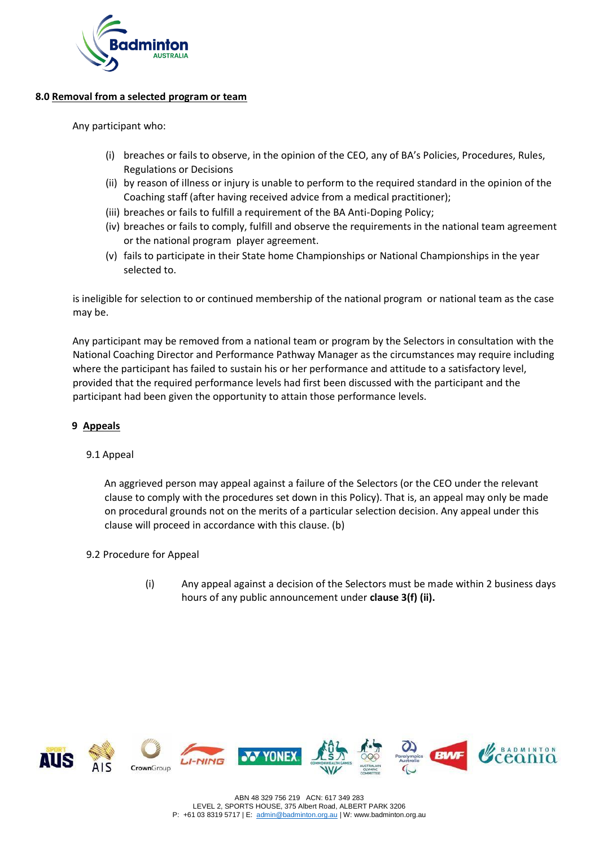

## **8.0 Removal from a selected program or team**

Any participant who:

- (i) breaches or fails to observe, in the opinion of the CEO, any of BA's Policies, Procedures, Rules, Regulations or Decisions
- (ii) by reason of illness or injury is unable to perform to the required standard in the opinion of the Coaching staff (after having received advice from a medical practitioner);
- (iii) breaches or fails to fulfill a requirement of the BA Anti-Doping Policy;
- (iv) breaches or fails to comply, fulfill and observe the requirements in the national team agreement or the national program player agreement.
- (v) fails to participate in their State home Championships or National Championships in the year selected to.

is ineligible for selection to or continued membership of the national program or national team as the case may be.

Any participant may be removed from a national team or program by the Selectors in consultation with the National Coaching Director and Performance Pathway Manager as the circumstances may require including where the participant has failed to sustain his or her performance and attitude to a satisfactory level, provided that the required performance levels had first been discussed with the participant and the participant had been given the opportunity to attain those performance levels.

## **9 Appeals**

### 9.1 Appeal

An aggrieved person may appeal against a failure of the Selectors (or the CEO under the relevant clause to comply with the procedures set down in this Policy). That is, an appeal may only be made on procedural grounds not on the merits of a particular selection decision. Any appeal under this clause will proceed in accordance with this clause. (b)

- 9.2 Procedure for Appeal
	- (i) Any appeal against a decision of the Selectors must be made within 2 business days hours of any public announcement under **clause 3(f) (ii).**

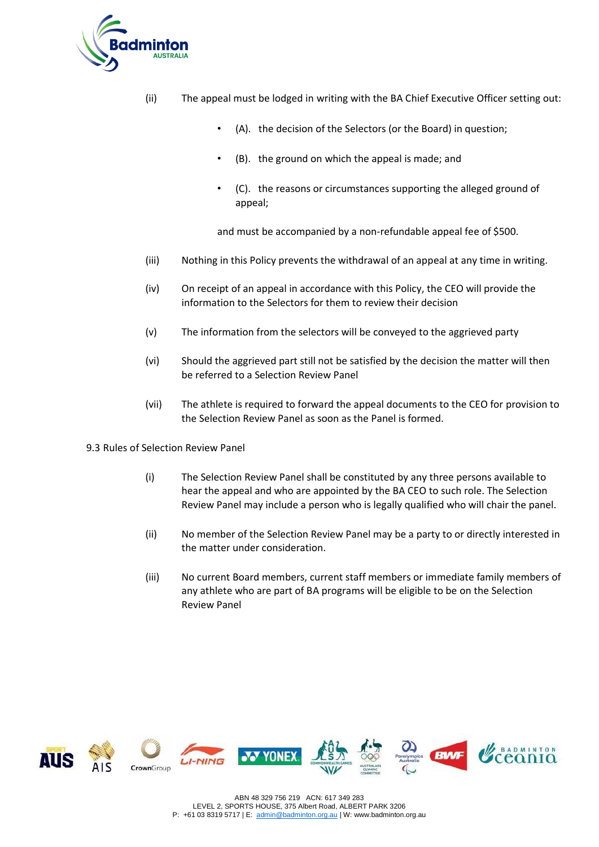

- (ii) The appeal must be lodged in writing with the BA Chief Executive Officer setting out:
	- (A). the decision of the Selectors (or the Board) in question;
	- (B). the ground on which the appeal is made; and
	- (C). the reasons or circumstances supporting the alleged ground of appeal;

and must be accompanied by a non-refundable appeal fee of \$500.

- (iii) Nothing in this Policy prevents the withdrawal of an appeal at any time in writing.
- (iv) On receipt of an appeal in accordance with this Policy, the CEO will provide the information to the Selectors for them to review their decision
- (v) The information from the selectors will be conveyed to the aggrieved party
- (vi) Should the aggrieved part still not be satisfied by the decision the matter will then be referred to a Selection Review Panel
- (vii) The athlete is required to forward the appeal documents to the CEO for provision to the Selection Review Panel as soon as the Panel is formed.
- 9.3 Rules of Selection Review Panel
	- (i) The Selection Review Panel shall be constituted by any three persons available to hear the appeal and who are appointed by the BA CEO to such role. The Selection Review Panel may include a person who is legally qualified who will chair the panel.
	- (ii) No member of the Selection Review Panel may be a party to or directly interested in the matter under consideration.
	- (iii) No current Board members, current staff members or immediate family members of any athlete who are part of BA programs will be eligible to be on the Selection Review Panel

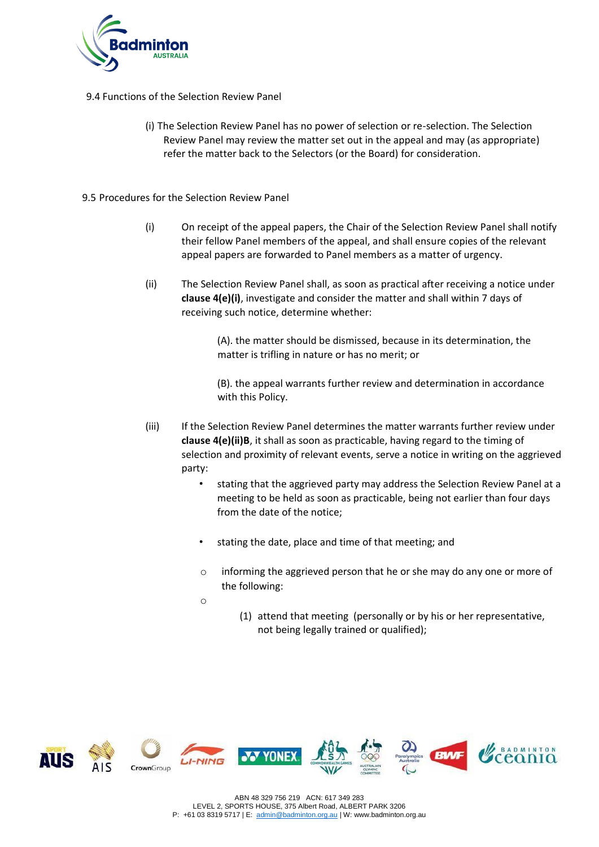

9.4 Functions of the Selection Review Panel

- (i) The Selection Review Panel has no power of selection or re-selection. The Selection Review Panel may review the matter set out in the appeal and may (as appropriate) refer the matter back to the Selectors (or the Board) for consideration.
- 9.5 Procedures for the Selection Review Panel
	- (i) On receipt of the appeal papers, the Chair of the Selection Review Panel shall notify their fellow Panel members of the appeal, and shall ensure copies of the relevant appeal papers are forwarded to Panel members as a matter of urgency.
	- (ii) The Selection Review Panel shall, as soon as practical after receiving a notice under **clause 4(e)(i)**, investigate and consider the matter and shall within 7 days of receiving such notice, determine whether:

(A). the matter should be dismissed, because in its determination, the matter is trifling in nature or has no merit; or

(B). the appeal warrants further review and determination in accordance with this Policy.

- (iii) If the Selection Review Panel determines the matter warrants further review under **clause 4(e)(ii)B**, it shall as soon as practicable, having regard to the timing of selection and proximity of relevant events, serve a notice in writing on the aggrieved party:
	- stating that the aggrieved party may address the Selection Review Panel at a meeting to be held as soon as practicable, being not earlier than four days from the date of the notice;
	- stating the date, place and time of that meeting; and
	- o informing the aggrieved person that he or she may do any one or more of the following:

o

(1) attend that meeting (personally or by his or her representative, not being legally trained or qualified);